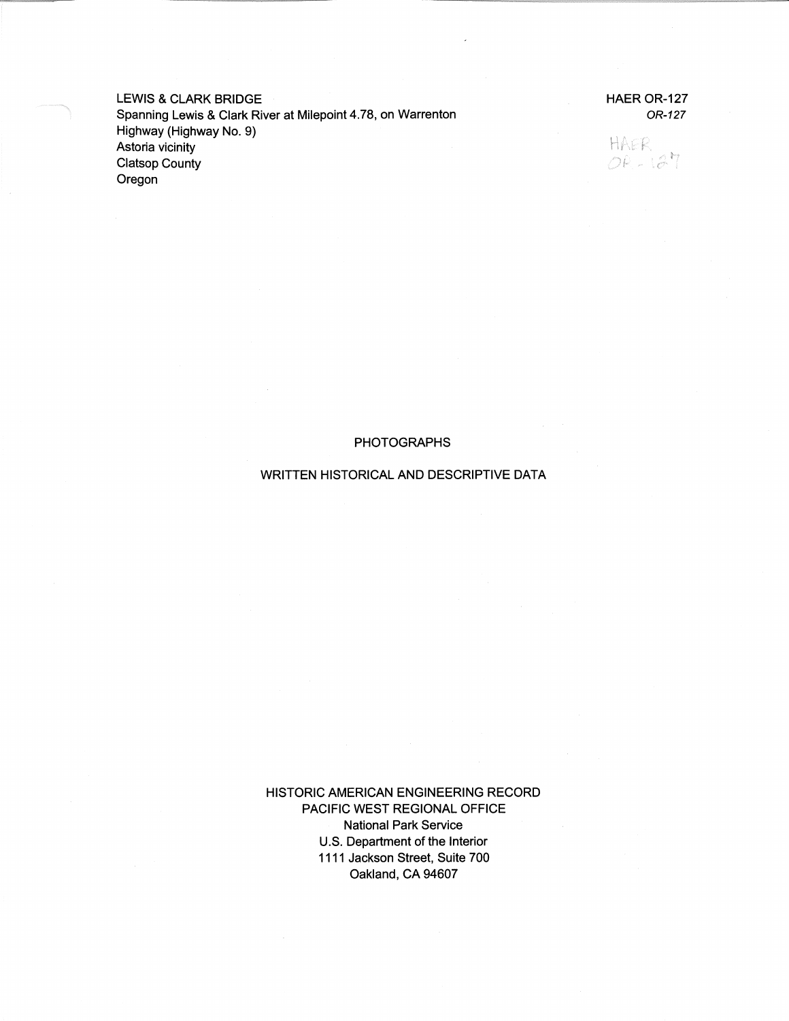LEWIS & CLARK BRIDGE Spanning Lewis & Clark River at Milepoint 4.78, on Warrenton Highway (Highway No. 9) Astoria vicinity Clatsop County Oregon

HAER OR-127 OR-127

HAER  $OR - 127$ 

#### PHOTOGRAPHS

#### WRITTEN HISTORICAL AND DESCRIPTIVE DATA

HISTORIC AMERICAN ENGINEERING RECORD PACIFIC WEST REGIONAL OFFICE National Park Service U.S. Department of the Interior 1111 Jackson Street, Suite 700 Oakland, CA 94607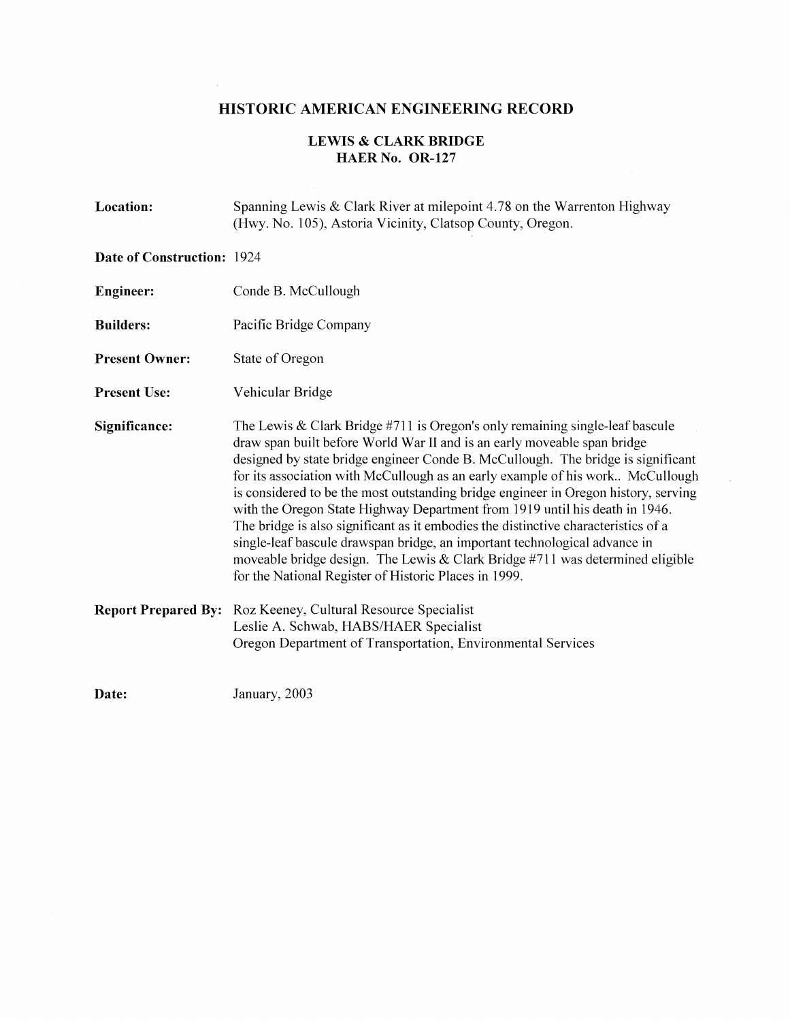# **HISTORIC AMERICAN ENGINEERING RECORD**

 $\bar{z}$ 

### **LEWIS & CLARK BRIDGE HAER No. OR-127**

| Location:                         | Spanning Lewis & Clark River at milepoint 4.78 on the Warrenton Highway<br>(Hwy. No. 105), Astoria Vicinity, Clatsop County, Oregon.                                                                                                                                                                                                                                                                                                                                                                                                                                                                                                                                                                                                                                                                                   |
|-----------------------------------|------------------------------------------------------------------------------------------------------------------------------------------------------------------------------------------------------------------------------------------------------------------------------------------------------------------------------------------------------------------------------------------------------------------------------------------------------------------------------------------------------------------------------------------------------------------------------------------------------------------------------------------------------------------------------------------------------------------------------------------------------------------------------------------------------------------------|
| <b>Date of Construction: 1924</b> |                                                                                                                                                                                                                                                                                                                                                                                                                                                                                                                                                                                                                                                                                                                                                                                                                        |
| <b>Engineer:</b>                  | Conde B. McCullough                                                                                                                                                                                                                                                                                                                                                                                                                                                                                                                                                                                                                                                                                                                                                                                                    |
| <b>Builders:</b>                  | Pacific Bridge Company                                                                                                                                                                                                                                                                                                                                                                                                                                                                                                                                                                                                                                                                                                                                                                                                 |
| <b>Present Owner:</b>             | State of Oregon                                                                                                                                                                                                                                                                                                                                                                                                                                                                                                                                                                                                                                                                                                                                                                                                        |
| <b>Present Use:</b>               | Vehicular Bridge                                                                                                                                                                                                                                                                                                                                                                                                                                                                                                                                                                                                                                                                                                                                                                                                       |
| Significance:                     | The Lewis & Clark Bridge $#711$ is Oregon's only remaining single-leaf bascule<br>draw span built before World War II and is an early moveable span bridge<br>designed by state bridge engineer Conde B. McCullough. The bridge is significant<br>for its association with McCullough as an early example of his work McCullough<br>is considered to be the most outstanding bridge engineer in Oregon history, serving<br>with the Oregon State Highway Department from 1919 until his death in 1946.<br>The bridge is also significant as it embodies the distinctive characteristics of a<br>single-leaf bascule drawspan bridge, an important technological advance in<br>moveable bridge design. The Lewis & Clark Bridge $#711$ was determined eligible<br>for the National Register of Historic Places in 1999. |
| <b>Report Prepared By:</b>        | Roz Keeney, Cultural Resource Specialist<br>Leslie A. Schwab, HABS/HAER Specialist<br>Oregon Department of Transportation, Environmental Services                                                                                                                                                                                                                                                                                                                                                                                                                                                                                                                                                                                                                                                                      |
| Date:                             | January, 2003                                                                                                                                                                                                                                                                                                                                                                                                                                                                                                                                                                                                                                                                                                                                                                                                          |

. Ц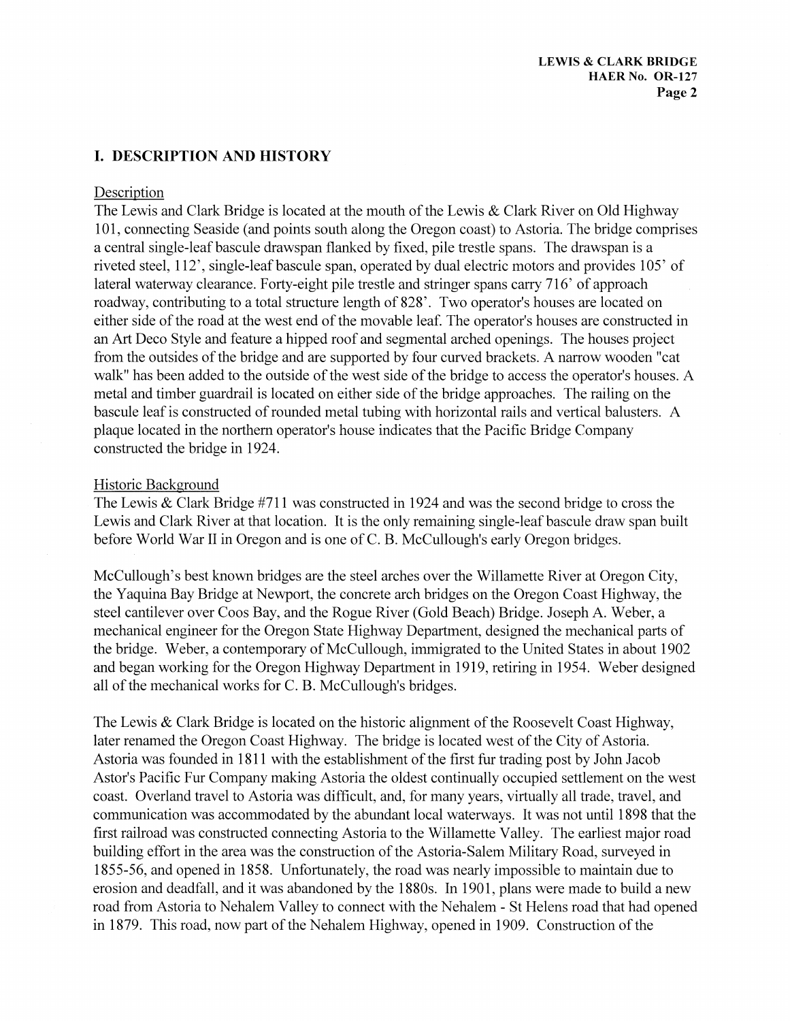## I. **DESCRIPTION AND HISTORY**

#### Description

The Lewis and Clark Bridge is located at the mouth of the Lewis & Clark River on Old Highway 101, connecting Seaside (and points south along the Oregon coast) to Astoria. The bridge comprises a central single-leafbascule drawspan flanked by fixed, pile trestle spans. The drawspan is a riveted steel, 112', single-leaf bascule span, operated by dual electric motors and provides 105' of lateral waterway clearance. Forty-eight pile trestle and stringer spans carry 716' of approach roadway, contributing to a total structure length of 828'. Two operator's houses are located on either side of the road at the west end of the movable leaf. The operator's houses are constructed in an Art Deco Style and feature a hipped roof and segmental arched openings. The houses project from the outsides of the bridge and are supported by four curved brackets. A narrow wooden "cat walk" has been added to the outside of the west side of the bridge to access the operator's houses. A metal and timber guardrail is located on either side of the bridge approaches. The railing on the bascule leaf is constructed of rounded metal tubing with horizontal rails and vertical balusters. A plaque located in the northern operator's house indicates that the Pacific Bridge Company constructed the bridge in 1924.

#### Historic Background

The Lewis & Clark Bridge #711 was constructed in 1924 and was the second bridge to cross the Lewis and Clark River at that location. It is the only remaining single-leaf bascule draw span built before World War II in Oregon and is one of C. B. McCullough's early Oregon bridges.

McCullough's best known bridges are the steel arches over the Willamette River at Oregon City, the Yaquina Bay Bridge at Newport, the concrete arch bridges on the Oregon Coast Highway, the steel cantilever over Coos Bay, and the Rogue River (Gold Beach) Bridge. Joseph A. Weber, a mechanical engineer for the Oregon State Highway Department, designed the mechanical parts of the bridge. Weber, a contemporary of McCullough, immigrated to the United States in about 1902 and began working for the Oregon Highway Department in 1919, retiring in 1954. Weber designed all of the mechanical works for C. B. McCullough's bridges.

The Lewis & Clark Bridge is located on the historic alignment of the Roosevelt Coast Highway, later renamed the Oregon Coast Highway. The bridge is located west of the City of Astoria. Astoria was founded in 1811 with the establishment of the first fur trading post by John Jacob Astor's Pacific Fur Company making Astoria the oldest continually occupied settlement on the west coast. Overland travel to Astoria was difficult, and, for many years, virtually all trade, travel, and communication was accommodated by the abundant local waterways. It was not until 1898 that the first railroad was constructed connecting Astoria to the Willamette Valley. The earliest major road building effort in the area was the construction of the Astoria-Salem Military Road, surveyed in 1855-56, and opened in 1858. Unfortunately, the road was nearly impossible to maintain due to erosion and deadfall, and it was abandoned by the 1880s. In 1901, plans were made to build a new road from Astoria to Nehalem Valley to connect with the Nehalem - St Helens road that had opened in 1879. This road, now part of the Nehalem Highway, opened in 1909. Construction of the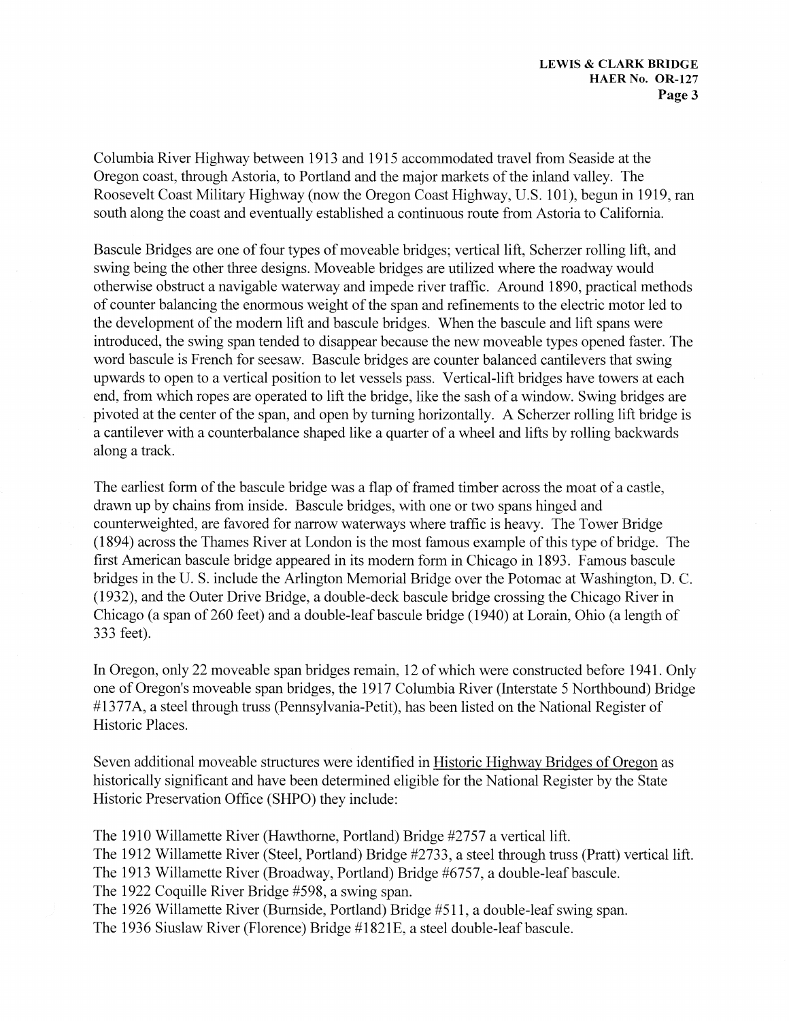Columbia River Highway between 1913 and 1915 accommodated travel from Seaside at the Oregon coast, through Astoria, to Portland and the major markets of the inland valley. The Roosevelt Coast Military Highway (now the Oregon Coast Highway, U.S. 101), begun in 1919, ran south along the coast and eventually established a continuous route from Astoria to California.

Bascule Bridges are one of four types of moveable bridges; vertical lift, Scherzer rolling lift, and swing being the other three designs. Moveable bridges are utilized where the roadway would otherwise obstruct a navigable waterway and impede river traffic. Around 1890, practical methods of counter balancing the enormous weight of the span and refinements to the electric motor led to the development of the modem lift and bascule bridges. When the bascule and lift spans were introduced, the swing span tended to disappear because the new moveable types opened faster. The word bascule is French for seesaw. Bascule bridges are counter balanced cantilevers that swing upwards to open to a vertical position to let vessels pass. Vertical-lift bridges have towers at each end, from which ropes are operated to lift the bridge, like the sash of a window. Swing bridges are pivoted at the center of the span, and open by turning horizontally. A Scherzer rolling lift bridge is a cantilever with a counterbalance shaped like a quarter of a wheel and lifts by rolling backwards along a track.

The earliest form of the bascule bridge was a flap of framed timber across the moat of a castle, drawn up by chains from inside. Bascule bridges, with one or two spans hinged and counterweighted, are favored for narrow waterways where traffic is heavy. The Tower Bridge (1894) across the Thames River at London is the most famous example of this type of bridge. The first American bascule bridge appeared in its modem form in Chicago in 1893. Famous bascule bridges in the U.S. include the Arlington Memorial Bridge over the Potomac at Washington, D.C. (1932), and the Outer Drive Bridge, a double-deck bascule bridge crossing the Chicago River in Chicago (a span of 260 feet) and a double-leaf bascule bridge (1940) at Lorain, Ohio (a length of 333 feet).

In Oregon, only 22 moveable span bridges remain, 12 of which were constructed before 1941. Only one of Oregon's moveable span bridges, the 1917 Columbia River (Interstate 5 Northbound) Bridge #1377A, a steel through truss (Pennsylvania-Petit), has been listed on the National Register of Historic Places.

Seven additional moveable structures were identified in Historic Highway Bridges of Oregon as historically significant and have been determined eligible for the National Register by the State Historic Preservation Office (SHPO) they include:

The 1910 Willamette River (Hawthorne, Portland) Bridge #2757 a vertical lift. The 1912 Willamette River (Steel, Portland) Bridge #2733, a steel through truss (Pratt) vertical lift. The 1913 Willamette River (Broadway, Portland) Bridge #6757, a double-leafbascule. The 1922 Coquille River Bridge #598, a swing span. The 1926 Willamette River (Burnside, Portland) Bridge #511, a double-leaf swing span. The 1936 Siuslaw River (Florence) Bridge #1821E, a steel double-leafbascule.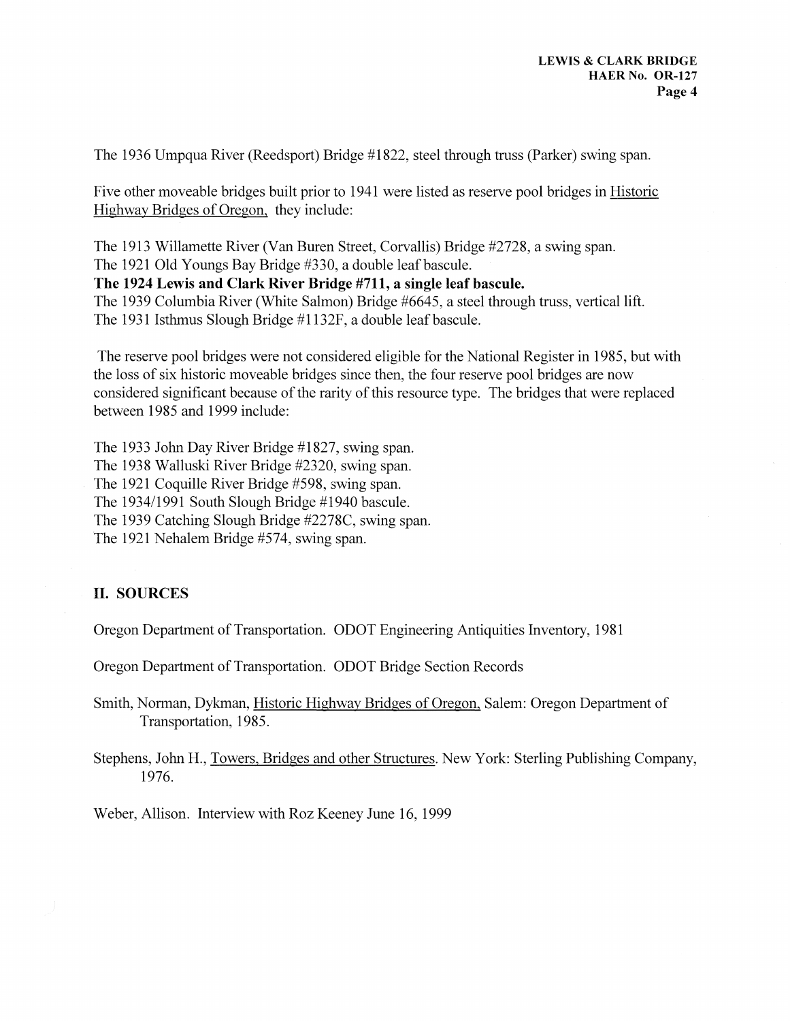The 1936 Umpqua River (Reedsport) Bridge #1822, steel through truss (Parker) swing span.

Five other moveable bridges built prior to 1941 were listed as reserve pool bridges in Historic Highway Bridges of Oregon, they include:

The 1913 Willamette River (Van Buren Street, Corvallis) Bridge #2728, a swing span. The 1921 Old Youngs Bay Bridge #330, a double leafbascule.

**The 1924 Lewis and Clark River Bridge #711, a single leaf bascule.** 

The 1939 Columbia River (White Salmon) Bridge #6645, a steel through truss, vertical lift. The 1931 Isthmus Slough Bridge #1132F, a double leafbascule.

The reserve pool bridges were not considered eligible for the National Register in 1985, but with the loss of six historic moveable bridges since then, the four reserve pool bridges are now considered significant because of the rarity of this resource type. The bridges that were replaced between 1985 and 1999 include:

The 1933 John Day River Bridge #1827, swing span. The 1938 Walluski River Bridge #2320, swing span. The 1921 Coquille River Bridge #598, swing span. The 1934/1991 South Slough Bridge #1940 bascule. The 1939 Catching Slough Bridge #2278C, swing span. The 1921 Nehalem Bridge #574, swing span.

### **II. SOURCES**

Oregon Department of Transportation. ODOT Engineering Antiquities Inventory, 1981

Oregon Department of Transportation. ODOT Bridge Section Records

Smith, Norman, Dykman, Historic Highway Bridges of Oregon, Salem: Oregon Department of Transportation, 1985.

Stephens, John H., Towers, Bridges and other Structures. New York: Sterling Publishing Company, 1976.

Weber, Allison. Interview with Roz Keeney June 16, 1999